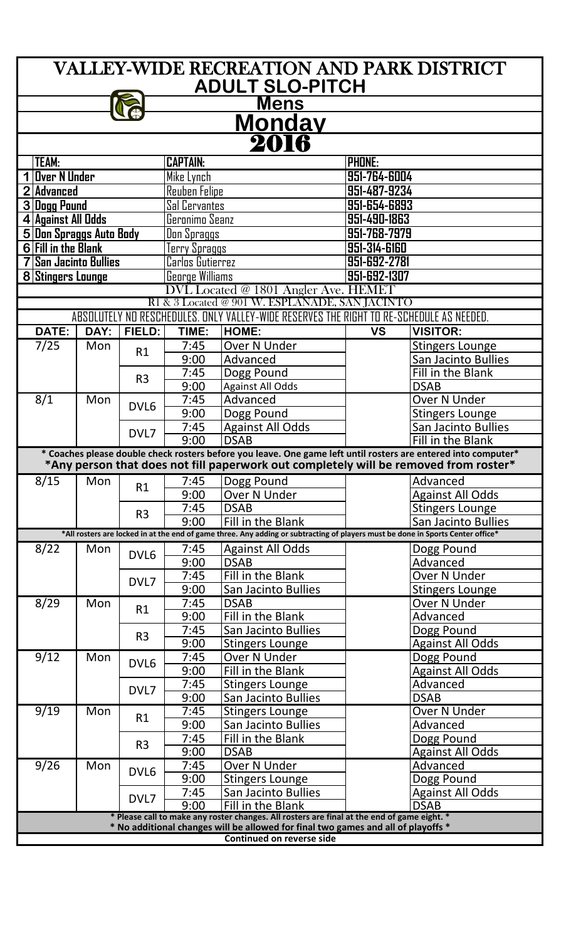| <b>VALLEY-WIDE RECREATION AND PARK DISTRICT</b>                                                                                               |      |                |                        |                                                                                                                                                                                                        |               |                                        |  |  |  |  |  |  |
|-----------------------------------------------------------------------------------------------------------------------------------------------|------|----------------|------------------------|--------------------------------------------------------------------------------------------------------------------------------------------------------------------------------------------------------|---------------|----------------------------------------|--|--|--|--|--|--|
| <b>ADULT SLO-PITCH</b>                                                                                                                        |      |                |                        |                                                                                                                                                                                                        |               |                                        |  |  |  |  |  |  |
| <u>Mens</u>                                                                                                                                   |      |                |                        |                                                                                                                                                                                                        |               |                                        |  |  |  |  |  |  |
| <u>Monday</u>                                                                                                                                 |      |                |                        |                                                                                                                                                                                                        |               |                                        |  |  |  |  |  |  |
| 2016                                                                                                                                          |      |                |                        |                                                                                                                                                                                                        |               |                                        |  |  |  |  |  |  |
| TEAM:                                                                                                                                         |      |                | <b>CAPTAIN:</b>        |                                                                                                                                                                                                        | <b>PHONE:</b> |                                        |  |  |  |  |  |  |
| <b>Over N Under</b>                                                                                                                           |      |                | Mike Lynch             |                                                                                                                                                                                                        | 951-764-6004  |                                        |  |  |  |  |  |  |
| $\overline{2}$<br><b>Advanced</b>                                                                                                             |      |                | <b>Reuben Felipe</b>   |                                                                                                                                                                                                        |               | 951-487-9234                           |  |  |  |  |  |  |
| 3 Dogg Pound                                                                                                                                  |      |                | Sal Cervantes          |                                                                                                                                                                                                        |               | 951-654-6893                           |  |  |  |  |  |  |
| 4 Against All Odds                                                                                                                            |      |                | Geronimo Seanz         |                                                                                                                                                                                                        | 951-490-1863  |                                        |  |  |  |  |  |  |
| 5 Don Spraggs Auto Body                                                                                                                       |      |                | Don Spraggs            |                                                                                                                                                                                                        | 951-768-7979  |                                        |  |  |  |  |  |  |
| <b>6 Fill in the Blank</b>                                                                                                                    |      |                | Terry Spraggs          |                                                                                                                                                                                                        | 951-314-6160  |                                        |  |  |  |  |  |  |
| <b>San Jacinto Bullies</b>                                                                                                                    |      |                | Carlos Gutierrez       |                                                                                                                                                                                                        | 951-692-2781  |                                        |  |  |  |  |  |  |
| 8 Stingers Lounge                                                                                                                             |      |                | <b>George Williams</b> |                                                                                                                                                                                                        | 951-692-1307  |                                        |  |  |  |  |  |  |
| DVL Located @ 1801 Angler Ave. HEMET                                                                                                          |      |                |                        |                                                                                                                                                                                                        |               |                                        |  |  |  |  |  |  |
| R1 & 3 Located @ 901 W. ESPLANADE, SAN JACINTO<br>NO RESCHEDULES. ONLY VALLEY-WIDE RESERVES THE RIGHT TO RE-SCHEDULE AS NEEDED.<br>ABSOLUTELY |      |                |                        |                                                                                                                                                                                                        |               |                                        |  |  |  |  |  |  |
| DATE:                                                                                                                                         | DAY: | FIELD:         | TIME:                  | HOME:                                                                                                                                                                                                  | <b>VS</b>     | <b>VISITOR:</b>                        |  |  |  |  |  |  |
| 7/25                                                                                                                                          | Mon  |                | 7:45                   | <b>Over N Under</b>                                                                                                                                                                                    |               | <b>Stingers Lounge</b>                 |  |  |  |  |  |  |
|                                                                                                                                               |      | R1             | 9:00                   | Advanced                                                                                                                                                                                               |               | San Jacinto Bullies                    |  |  |  |  |  |  |
|                                                                                                                                               |      |                | 7:45                   | Dogg Pound                                                                                                                                                                                             |               | Fill in the Blank                      |  |  |  |  |  |  |
|                                                                                                                                               |      | R <sub>3</sub> | 9:00                   | <b>Against All Odds</b>                                                                                                                                                                                |               | <b>DSAB</b>                            |  |  |  |  |  |  |
| 8/1                                                                                                                                           | Mon  |                | 7:45                   | Advanced                                                                                                                                                                                               |               | Over N Under                           |  |  |  |  |  |  |
|                                                                                                                                               |      | DVL6           | 9:00                   | Dogg Pound                                                                                                                                                                                             |               | <b>Stingers Lounge</b>                 |  |  |  |  |  |  |
|                                                                                                                                               |      | DVL7           | 7:45                   | <b>Against All Odds</b>                                                                                                                                                                                |               | San Jacinto Bullies                    |  |  |  |  |  |  |
|                                                                                                                                               |      |                | 9:00                   | <b>DSAB</b>                                                                                                                                                                                            |               | Fill in the Blank                      |  |  |  |  |  |  |
|                                                                                                                                               |      |                |                        | * Coaches please double check rosters before you leave. One game left until rosters are entered into computer*<br>*Any person that does not fill paperwork out completely will be removed from roster* |               |                                        |  |  |  |  |  |  |
| 8/15                                                                                                                                          | Mon  |                | 7:45                   |                                                                                                                                                                                                        |               | Advanced                               |  |  |  |  |  |  |
|                                                                                                                                               |      | R1             | 9:00                   | Dogg Pound<br><b>Over N Under</b>                                                                                                                                                                      |               | <b>Against All Odds</b>                |  |  |  |  |  |  |
|                                                                                                                                               |      |                | 7:45                   | <b>DSAB</b>                                                                                                                                                                                            |               | <b>Stingers Lounge</b>                 |  |  |  |  |  |  |
|                                                                                                                                               |      | R <sub>3</sub> | 9:00                   | Fill in the Blank                                                                                                                                                                                      |               | San Jacinto Bullies                    |  |  |  |  |  |  |
|                                                                                                                                               |      |                |                        | *All rosters are locked in at the end of game three. Any adding or subtracting of players must be done in Sports Center office*                                                                        |               |                                        |  |  |  |  |  |  |
| 8/22                                                                                                                                          | Mon  |                | 7:45                   | <b>Against All Odds</b>                                                                                                                                                                                |               | Dogg Pound                             |  |  |  |  |  |  |
|                                                                                                                                               |      | DVL6           | 9:00                   | <b>DSAB</b>                                                                                                                                                                                            |               | Advanced                               |  |  |  |  |  |  |
|                                                                                                                                               |      | DVL7           | 7:45                   | Fill in the Blank                                                                                                                                                                                      |               | <b>Over N Under</b>                    |  |  |  |  |  |  |
|                                                                                                                                               |      |                | 9:00                   | San Jacinto Bullies                                                                                                                                                                                    |               | <b>Stingers Lounge</b>                 |  |  |  |  |  |  |
| 8/29                                                                                                                                          | Mon  | R1             | 7:45                   | <b>DSAB</b>                                                                                                                                                                                            |               | <b>Over N Under</b>                    |  |  |  |  |  |  |
|                                                                                                                                               |      |                | 9:00                   | Fill in the Blank                                                                                                                                                                                      |               | Advanced                               |  |  |  |  |  |  |
|                                                                                                                                               |      | R <sub>3</sub> | 7:45<br>9:00           | San Jacinto Bullies                                                                                                                                                                                    |               | Dogg Pound                             |  |  |  |  |  |  |
| 9/12                                                                                                                                          | Mon  |                | 7:45                   | <b>Stingers Lounge</b><br>Over N Under                                                                                                                                                                 |               | <b>Against All Odds</b><br>Dogg Pound  |  |  |  |  |  |  |
|                                                                                                                                               |      | DVL6           | 9:00                   | Fill in the Blank                                                                                                                                                                                      |               | <b>Against All Odds</b>                |  |  |  |  |  |  |
|                                                                                                                                               |      |                | 7:45                   | <b>Stingers Lounge</b>                                                                                                                                                                                 |               | Advanced                               |  |  |  |  |  |  |
|                                                                                                                                               |      | DVL7           | 9:00                   | San Jacinto Bullies                                                                                                                                                                                    |               | <b>DSAB</b>                            |  |  |  |  |  |  |
| 9/19                                                                                                                                          | Mon  |                | 7:45                   | <b>Stingers Lounge</b>                                                                                                                                                                                 |               | Over N Under                           |  |  |  |  |  |  |
|                                                                                                                                               |      | R1             | 9:00                   | San Jacinto Bullies                                                                                                                                                                                    |               | Advanced                               |  |  |  |  |  |  |
|                                                                                                                                               |      | R <sub>3</sub> | 7:45                   | Fill in the Blank                                                                                                                                                                                      |               | Dogg Pound                             |  |  |  |  |  |  |
|                                                                                                                                               |      |                | 9:00                   | <b>DSAB</b>                                                                                                                                                                                            |               | <b>Against All Odds</b>                |  |  |  |  |  |  |
| 9/26                                                                                                                                          | Mon  | DVL6           | 7:45                   | <b>Over N Under</b>                                                                                                                                                                                    |               | Advanced                               |  |  |  |  |  |  |
|                                                                                                                                               |      |                | 9:00                   | <b>Stingers Lounge</b>                                                                                                                                                                                 |               | Dogg Pound                             |  |  |  |  |  |  |
|                                                                                                                                               |      | DVL7           | 7:45<br>9:00           | San Jacinto Bullies<br>Fill in the Blank                                                                                                                                                               |               | <b>Against All Odds</b><br><b>DSAB</b> |  |  |  |  |  |  |
| * Please call to make any roster changes. All rosters are final at the end of game eight. *                                                   |      |                |                        |                                                                                                                                                                                                        |               |                                        |  |  |  |  |  |  |
| * No additional changes will be allowed for final two games and all of playoffs *                                                             |      |                |                        |                                                                                                                                                                                                        |               |                                        |  |  |  |  |  |  |
| <b>Continued on reverse side</b>                                                                                                              |      |                |                        |                                                                                                                                                                                                        |               |                                        |  |  |  |  |  |  |